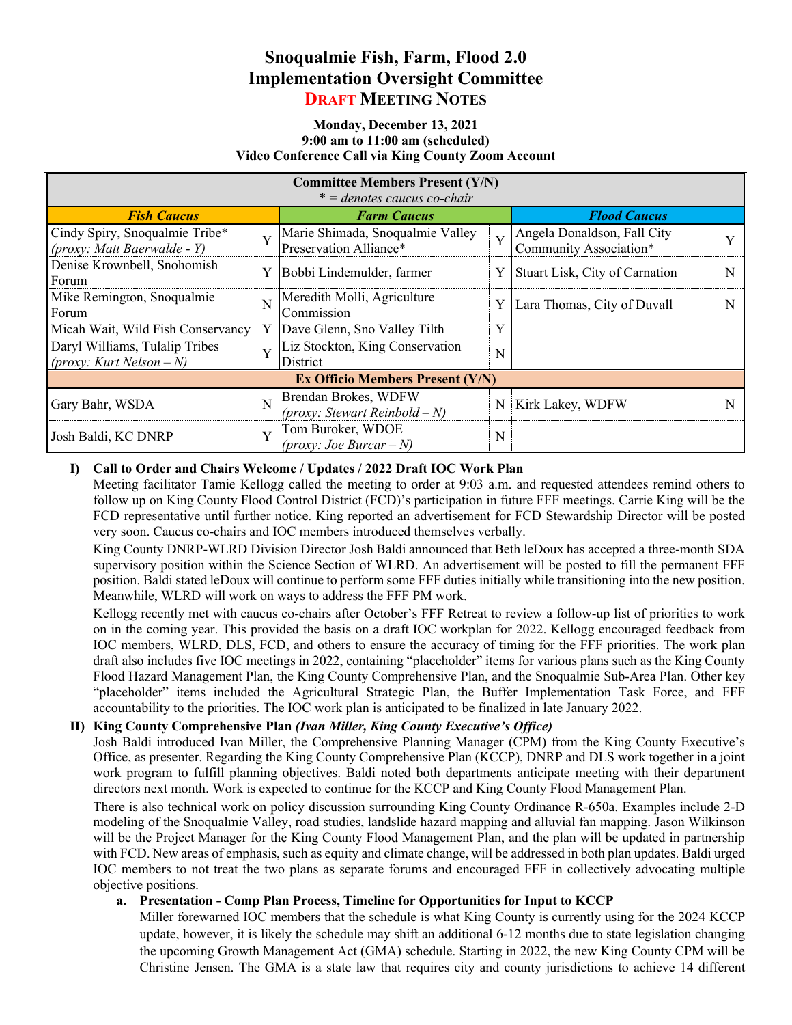# **Snoqualmie Fish, Farm, Flood 2.0 Implementation Oversight Committee DRAFT MEETING NOTES**

#### **Monday, December 13, 2021 9:00 am to 11:00 am (scheduled) Video Conference Call via King County Zoom Account**

| <b>Committee Members Present (Y/N)</b><br>$* =$ denotes caucus co-chair |                         |                                                            |   |                                                       |  |
|-------------------------------------------------------------------------|-------------------------|------------------------------------------------------------|---|-------------------------------------------------------|--|
| <b>Fish Caucus</b>                                                      |                         | <b>Farm Caucus</b>                                         |   | <b>Flood Caucus</b>                                   |  |
| Cindy Spiry, Snoqualmie Tribe*<br>(proxy: Matt Baerwalde - Y)           | $\overline{V}$          | Marie Shimada, Snoqualmie Valley<br>Preservation Alliance* | Y | Angela Donaldson, Fall City<br>Community Association* |  |
| Denise Krownbell, Snohomish<br>Forum                                    | Y                       | Bobbi Lindemulder, farmer                                  | Y | Stuart Lisk, City of Carnation                        |  |
| Mike Remington, Snoqualmie<br>Forum                                     | N                       | Meredith Molli, Agriculture<br>Commission                  |   | Lara Thomas, City of Duvall                           |  |
| Micah Wait, Wild Fish Conservancy                                       | Y                       | Dave Glenn, Sno Valley Tilth                               | Y |                                                       |  |
| Daryl Williams, Tulalip Tribes<br>(proxy: Kurt Nelson – N)              | $\overline{\mathbf{V}}$ | Liz Stockton, King Conservation<br>District                | N |                                                       |  |
| <b>Ex Officio Members Present (Y/N)</b>                                 |                         |                                                            |   |                                                       |  |
| Gary Bahr, WSDA                                                         | N                       | Brendan Brokes, WDFW<br>(proxy: Stewart Reinbold – N)      |   | N Kirk Lakey, WDFW                                    |  |
| Josh Baldi, KC DNRP                                                     | V                       | Tom Buroker, WDOE<br>(proxy: Joe Burcar – N)               | N |                                                       |  |

#### **I) Call to Order and Chairs Welcome / Updates / 2022 Draft IOC Work Plan**

Meeting facilitator Tamie Kellogg called the meeting to order at 9:03 a.m. and requested attendees remind others to follow up on King County Flood Control District (FCD)'s participation in future FFF meetings. Carrie King will be the FCD representative until further notice. King reported an advertisement for FCD Stewardship Director will be posted very soon. Caucus co-chairs and IOC members introduced themselves verbally.

King County DNRP-WLRD Division Director Josh Baldi announced that Beth leDoux has accepted a three-month SDA supervisory position within the Science Section of WLRD. An advertisement will be posted to fill the permanent FFF position. Baldi stated leDoux will continue to perform some FFF duties initially while transitioning into the new position. Meanwhile, WLRD will work on ways to address the FFF PM work.

Kellogg recently met with caucus co-chairs after October's FFF Retreat to review a follow-up list of priorities to work on in the coming year. This provided the basis on a draft IOC workplan for 2022. Kellogg encouraged feedback from IOC members, WLRD, DLS, FCD, and others to ensure the accuracy of timing for the FFF priorities. The work plan draft also includes five IOC meetings in 2022, containing "placeholder" items for various plans such as the King County Flood Hazard Management Plan, the King County Comprehensive Plan, and the Snoqualmie Sub-Area Plan. Other key "placeholder" items included the Agricultural Strategic Plan, the Buffer Implementation Task Force, and FFF accountability to the priorities. The IOC work plan is anticipated to be finalized in late January 2022.

#### **II) King County Comprehensive Plan** *(Ivan Miller, King County Executive's Office)*

Josh Baldi introduced Ivan Miller, the Comprehensive Planning Manager (CPM) from the King County Executive's Office, as presenter. Regarding the King County Comprehensive Plan (KCCP), DNRP and DLS work together in a joint work program to fulfill planning objectives. Baldi noted both departments anticipate meeting with their department directors next month. Work is expected to continue for the KCCP and King County Flood Management Plan.

There is also technical work on policy discussion surrounding King County Ordinance R-650a. Examples include 2-D modeling of the Snoqualmie Valley, road studies, landslide hazard mapping and alluvial fan mapping. Jason Wilkinson will be the Project Manager for the King County Flood Management Plan, and the plan will be updated in partnership with FCD. New areas of emphasis, such as equity and climate change, will be addressed in both plan updates. Baldi urged IOC members to not treat the two plans as separate forums and encouraged FFF in collectively advocating multiple objective positions.

#### **a. Presentation - Comp Plan Process, Timeline for Opportunities for Input to KCCP**

Miller forewarned IOC members that the schedule is what King County is currently using for the 2024 KCCP update, however, it is likely the schedule may shift an additional 6-12 months due to state legislation changing the upcoming Growth Management Act (GMA) schedule. Starting in 2022, the new King County CPM will be Christine Jensen. The GMA is a state law that requires city and county jurisdictions to achieve 14 different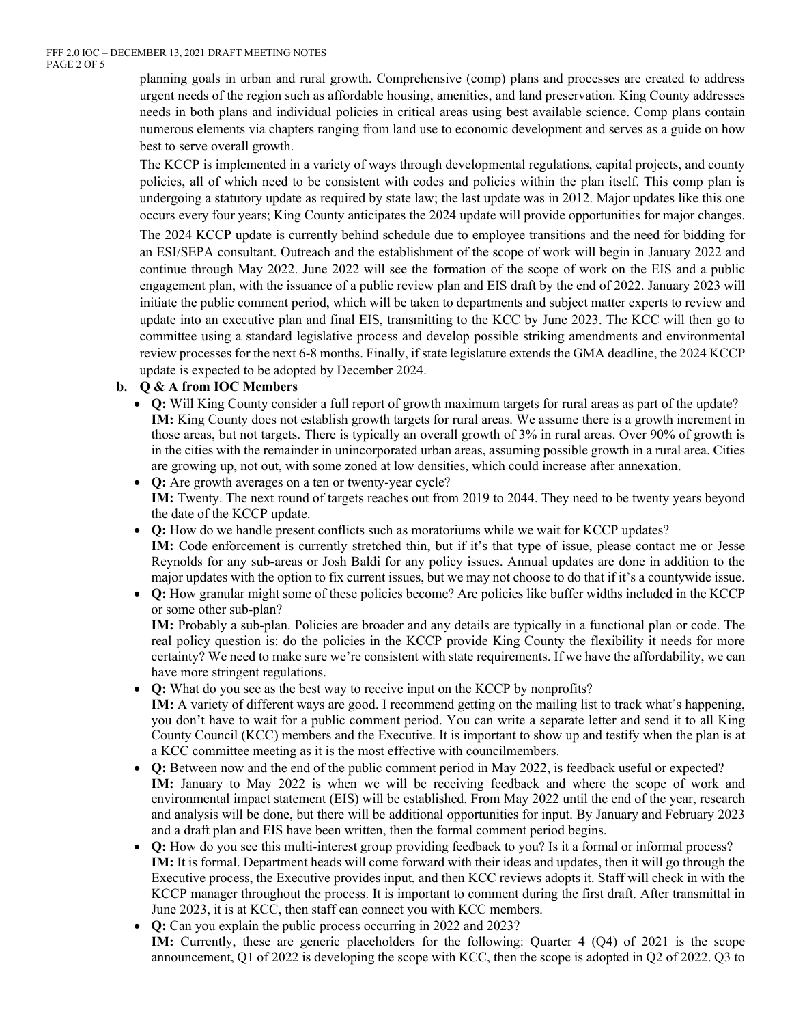planning goals in urban and rural growth. Comprehensive (comp) plans and processes are created to address urgent needs of the region such as affordable housing, amenities, and land preservation. King County addresses needs in both plans and individual policies in critical areas using best available science. Comp plans contain numerous elements via chapters ranging from land use to economic development and serves as a guide on how best to serve overall growth.

The KCCP is implemented in a variety of ways through developmental regulations, capital projects, and county policies, all of which need to be consistent with codes and policies within the plan itself. This comp plan is undergoing a statutory update as required by state law; the last update was in 2012. Major updates like this one occurs every four years; King County anticipates the 2024 update will provide opportunities for major changes.

The 2024 KCCP update is currently behind schedule due to employee transitions and the need for bidding for an ESI/SEPA consultant. Outreach and the establishment of the scope of work will begin in January 2022 and continue through May 2022. June 2022 will see the formation of the scope of work on the EIS and a public engagement plan, with the issuance of a public review plan and EIS draft by the end of 2022. January 2023 will initiate the public comment period, which will be taken to departments and subject matter experts to review and update into an executive plan and final EIS, transmitting to the KCC by June 2023. The KCC will then go to committee using a standard legislative process and develop possible striking amendments and environmental review processes for the next 6-8 months. Finally, if state legislature extends the GMA deadline, the 2024 KCCP update is expected to be adopted by December 2024.

#### **b. Q & A from IOC Members**

• **Q:** Will King County consider a full report of growth maximum targets for rural areas as part of the update? **IM:** King County does not establish growth targets for rural areas. We assume there is a growth increment in those areas, but not targets. There is typically an overall growth of 3% in rural areas. Over 90% of growth is in the cities with the remainder in unincorporated urban areas, assuming possible growth in a rural area. Cities are growing up, not out, with some zoned at low densities, which could increase after annexation.

• **Q:** Are growth averages on a ten or twenty-year cycle? **IM:** Twenty. The next round of targets reaches out from 2019 to 2044. They need to be twenty years beyond the date of the KCCP update.

- **Q:** How do we handle present conflicts such as moratoriums while we wait for KCCP updates? **IM:** Code enforcement is currently stretched thin, but if it's that type of issue, please contact me or Jesse Reynolds for any sub-areas or Josh Baldi for any policy issues. Annual updates are done in addition to the major updates with the option to fix current issues, but we may not choose to do that if it's a countywide issue.
- **Q:** How granular might some of these policies become? Are policies like buffer widths included in the KCCP or some other sub-plan?

**IM:** Probably a sub-plan. Policies are broader and any details are typically in a functional plan or code. The real policy question is: do the policies in the KCCP provide King County the flexibility it needs for more certainty? We need to make sure we're consistent with state requirements. If we have the affordability, we can have more stringent regulations.

- **Q:** What do you see as the best way to receive input on the KCCP by nonprofits? **IM:** A variety of different ways are good. I recommend getting on the mailing list to track what's happening, you don't have to wait for a public comment period. You can write a separate letter and send it to all King County Council (KCC) members and the Executive. It is important to show up and testify when the plan is at a KCC committee meeting as it is the most effective with councilmembers.
- **Q:** Between now and the end of the public comment period in May 2022, is feedback useful or expected? IM: January to May 2022 is when we will be receiving feedback and where the scope of work and environmental impact statement (EIS) will be established. From May 2022 until the end of the year, research and analysis will be done, but there will be additional opportunities for input. By January and February 2023 and a draft plan and EIS have been written, then the formal comment period begins.
- **Q:** How do you see this multi-interest group providing feedback to you? Is it a formal or informal process? **IM:** It is formal. Department heads will come forward with their ideas and updates, then it will go through the Executive process, the Executive provides input, and then KCC reviews adopts it. Staff will check in with the KCCP manager throughout the process. It is important to comment during the first draft. After transmittal in June 2023, it is at KCC, then staff can connect you with KCC members.
- **Q:** Can you explain the public process occurring in 2022 and 2023? **IM:** Currently, these are generic placeholders for the following: Quarter 4 (Q4) of 2021 is the scope announcement, Q1 of 2022 is developing the scope with KCC, then the scope is adopted in Q2 of 2022. Q3 to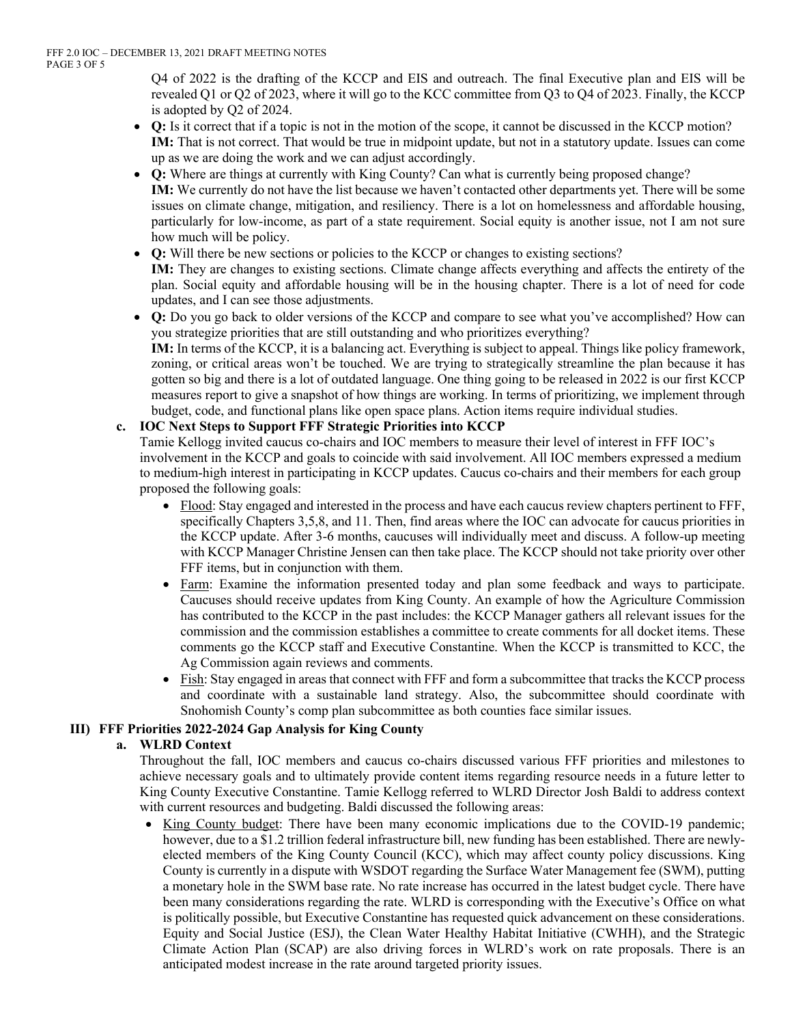Q4 of 2022 is the drafting of the KCCP and EIS and outreach. The final Executive plan and EIS will be revealed Q1 or Q2 of 2023, where it will go to the KCC committee from Q3 to Q4 of 2023. Finally, the KCCP is adopted by Q2 of 2024.

- **Q:** Is it correct that if a topic is not in the motion of the scope, it cannot be discussed in the KCCP motion? **IM:** That is not correct. That would be true in midpoint update, but not in a statutory update. Issues can come up as we are doing the work and we can adjust accordingly.
- **Q:** Where are things at currently with King County? Can what is currently being proposed change? **IM:** We currently do not have the list because we haven't contacted other departments yet. There will be some issues on climate change, mitigation, and resiliency. There is a lot on homelessness and affordable housing, particularly for low-income, as part of a state requirement. Social equity is another issue, not I am not sure how much will be policy.
- **Q:** Will there be new sections or policies to the KCCP or changes to existing sections? **IM:** They are changes to existing sections. Climate change affects everything and affects the entirety of the plan. Social equity and affordable housing will be in the housing chapter. There is a lot of need for code updates, and I can see those adjustments.
- **Q:** Do you go back to older versions of the KCCP and compare to see what you've accomplished? How can you strategize priorities that are still outstanding and who prioritizes everything? **IM:** In terms of the KCCP, it is a balancing act. Everything is subject to appeal. Things like policy framework, zoning, or critical areas won't be touched. We are trying to strategically streamline the plan because it has gotten so big and there is a lot of outdated language. One thing going to be released in 2022 is our first KCCP measures report to give a snapshot of how things are working. In terms of prioritizing, we implement through budget, code, and functional plans like open space plans. Action items require individual studies.

## **c. IOC Next Steps to Support FFF Strategic Priorities into KCCP**

Tamie Kellogg invited caucus co-chairs and IOC members to measure their level of interest in FFF IOC's involvement in the KCCP and goals to coincide with said involvement. All IOC members expressed a medium to medium-high interest in participating in KCCP updates. Caucus co-chairs and their members for each group proposed the following goals:

- Flood: Stay engaged and interested in the process and have each caucus review chapters pertinent to FFF, specifically Chapters 3,5,8, and 11. Then, find areas where the IOC can advocate for caucus priorities in the KCCP update. After 3-6 months, caucuses will individually meet and discuss. A follow-up meeting with KCCP Manager Christine Jensen can then take place. The KCCP should not take priority over other FFF items, but in conjunction with them.
- Farm: Examine the information presented today and plan some feedback and ways to participate. Caucuses should receive updates from King County. An example of how the Agriculture Commission has contributed to the KCCP in the past includes: the KCCP Manager gathers all relevant issues for the commission and the commission establishes a committee to create comments for all docket items. These comments go the KCCP staff and Executive Constantine. When the KCCP is transmitted to KCC, the Ag Commission again reviews and comments.
- Fish: Stay engaged in areas that connect with FFF and form a subcommittee that tracks the KCCP process and coordinate with a sustainable land strategy. Also, the subcommittee should coordinate with Snohomish County's comp plan subcommittee as both counties face similar issues.

# **III) FFF Priorities 2022-2024 Gap Analysis for King County**

#### **a. WLRD Context**

Throughout the fall, IOC members and caucus co-chairs discussed various FFF priorities and milestones to achieve necessary goals and to ultimately provide content items regarding resource needs in a future letter to King County Executive Constantine. Tamie Kellogg referred to WLRD Director Josh Baldi to address context with current resources and budgeting. Baldi discussed the following areas:

• King County budget: There have been many economic implications due to the COVID-19 pandemic; however, due to a \$1.2 trillion federal infrastructure bill, new funding has been established. There are newlyelected members of the King County Council (KCC), which may affect county policy discussions. King County is currently in a dispute with WSDOT regarding the Surface Water Management fee (SWM), putting a monetary hole in the SWM base rate. No rate increase has occurred in the latest budget cycle. There have been many considerations regarding the rate. WLRD is corresponding with the Executive's Office on what is politically possible, but Executive Constantine has requested quick advancement on these considerations. Equity and Social Justice (ESJ), the Clean Water Healthy Habitat Initiative (CWHH), and the Strategic Climate Action Plan (SCAP) are also driving forces in WLRD's work on rate proposals. There is an anticipated modest increase in the rate around targeted priority issues.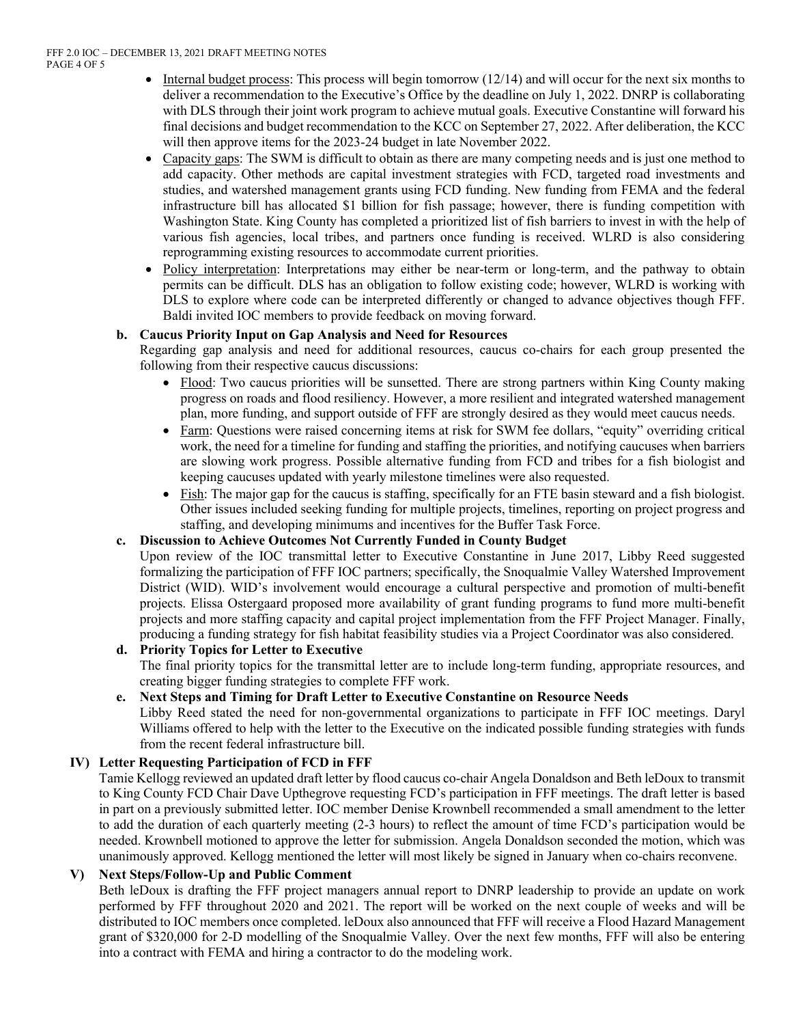- Internal budget process: This process will begin tomorrow (12/14) and will occur for the next six months to deliver a recommendation to the Executive's Office by the deadline on July 1, 2022. DNRP is collaborating with DLS through their joint work program to achieve mutual goals. Executive Constantine will forward his final decisions and budget recommendation to the KCC on September 27, 2022. After deliberation, the KCC will then approve items for the 2023-24 budget in late November 2022.
- Capacity gaps: The SWM is difficult to obtain as there are many competing needs and is just one method to add capacity. Other methods are capital investment strategies with FCD, targeted road investments and studies, and watershed management grants using FCD funding. New funding from FEMA and the federal infrastructure bill has allocated \$1 billion for fish passage; however, there is funding competition with Washington State. King County has completed a prioritized list of fish barriers to invest in with the help of various fish agencies, local tribes, and partners once funding is received. WLRD is also considering reprogramming existing resources to accommodate current priorities.
- Policy interpretation: Interpretations may either be near-term or long-term, and the pathway to obtain permits can be difficult. DLS has an obligation to follow existing code; however, WLRD is working with DLS to explore where code can be interpreted differently or changed to advance objectives though FFF. Baldi invited IOC members to provide feedback on moving forward.

## **b. Caucus Priority Input on Gap Analysis and Need for Resources**

Regarding gap analysis and need for additional resources, caucus co-chairs for each group presented the following from their respective caucus discussions:

- Flood: Two caucus priorities will be sunsetted. There are strong partners within King County making progress on roads and flood resiliency. However, a more resilient and integrated watershed management plan, more funding, and support outside of FFF are strongly desired as they would meet caucus needs.
- Farm: Questions were raised concerning items at risk for SWM fee dollars, "equity" overriding critical work, the need for a timeline for funding and staffing the priorities, and notifying caucuses when barriers are slowing work progress. Possible alternative funding from FCD and tribes for a fish biologist and keeping caucuses updated with yearly milestone timelines were also requested.
- Fish: The major gap for the caucus is staffing, specifically for an FTE basin steward and a fish biologist. Other issues included seeking funding for multiple projects, timelines, reporting on project progress and staffing, and developing minimums and incentives for the Buffer Task Force.

# **c. Discussion to Achieve Outcomes Not Currently Funded in County Budget**

Upon review of the IOC transmittal letter to Executive Constantine in June 2017, Libby Reed suggested formalizing the participation of FFF IOC partners; specifically, the Snoqualmie Valley Watershed Improvement District (WID). WID's involvement would encourage a cultural perspective and promotion of multi-benefit projects. Elissa Ostergaard proposed more availability of grant funding programs to fund more multi-benefit projects and more staffing capacity and capital project implementation from the FFF Project Manager. Finally, producing a funding strategy for fish habitat feasibility studies via a Project Coordinator was also considered.

# **d. Priority Topics for Letter to Executive**

The final priority topics for the transmittal letter are to include long-term funding, appropriate resources, and creating bigger funding strategies to complete FFF work.

#### **e. Next Steps and Timing for Draft Letter to Executive Constantine on Resource Needs**

Libby Reed stated the need for non-governmental organizations to participate in FFF IOC meetings. Daryl Williams offered to help with the letter to the Executive on the indicated possible funding strategies with funds from the recent federal infrastructure bill.

# **IV) Letter Requesting Participation of FCD in FFF**

Tamie Kellogg reviewed an updated draft letter by flood caucus co-chair Angela Donaldson and Beth leDoux to transmit to King County FCD Chair Dave Upthegrove requesting FCD's participation in FFF meetings. The draft letter is based in part on a previously submitted letter. IOC member Denise Krownbell recommended a small amendment to the letter to add the duration of each quarterly meeting (2-3 hours) to reflect the amount of time FCD's participation would be needed. Krownbell motioned to approve the letter for submission. Angela Donaldson seconded the motion, which was unanimously approved. Kellogg mentioned the letter will most likely be signed in January when co-chairs reconvene.

# **V) Next Steps/Follow-Up and Public Comment**

Beth leDoux is drafting the FFF project managers annual report to DNRP leadership to provide an update on work performed by FFF throughout 2020 and 2021. The report will be worked on the next couple of weeks and will be distributed to IOC members once completed. leDoux also announced that FFF will receive a Flood Hazard Management grant of \$320,000 for 2-D modelling of the Snoqualmie Valley. Over the next few months, FFF will also be entering into a contract with FEMA and hiring a contractor to do the modeling work.